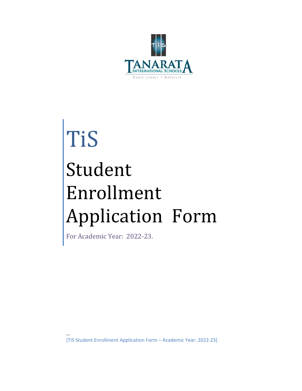

# TiS Student Enrollment Application Form

For Academic Year: 2022-23.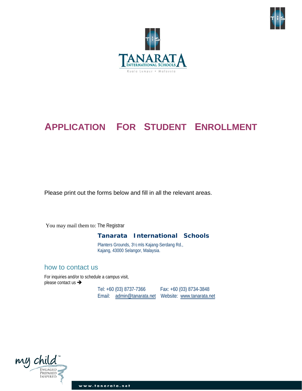



# **APPLICATION FOR STUDENT ENROLLMENT**

Please print out the forms below and fill in all the relevant areas.

You may mail them to: The Registrar

#### **Tanarata International Schools**

Planters Grounds, 3½ mls Kajang-Serdang Rd., Kajang, 43000 Selangor, Malaysia.

#### how to contact us

For inquiries and/or to schedule a campus visit, please contact us →

Tel: +60 (03) 8737-7366 Fax: +60 (03) 8734-3848 Email: [admin@tanarata.net](mailto:admin@tanarata.net) Website: [www.tanarata.net](http://www.tanarata.net/)

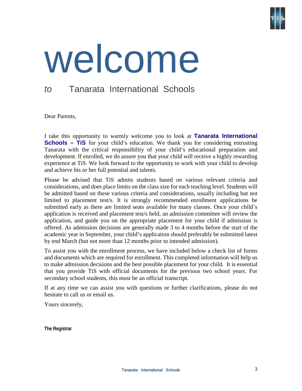

# welcome

# *to* Tanarata International Schools

Dear Parents,

I take this opportunity to warmly welcome you to look at **Tanarata International Schools – TiS** for your child's education. We thank you for considering entrusting Tanarata with the critical responsibility of your child's educational preparation and development. If enrolled, we do assure you that your child will receive a highly rewarding experience at TiS. We look forward to the opportunity to work with your child to develop and achieve his or her full potential and talents.

Please be advised that TiS admits students based on various relevant criteria and considerations, and does place limits on the class size for each teaching level. Students will be admitted based on these various criteria and considerations, usually including but not limited to placement test/s. It is strongly recommended enrollment applications be submitted early as there are limited seats available for many classes. Once your child's application is received and placement test/s held, an admission committee will review the application, and guide you on the appropriate placement for your child if admission is offered. As admission decisions are generally made 3 to 4 months before the start of the academic year in September, your child's application should preferably be submitted latest by end March (but not more than 12 months prior to intended admission).

To assist you with the enrollment process, we have included below a check list of forms and documents which are required for enrollment. This completed information will help us to make admission decisions and the best possible placement for your child. It is essential that you provide TiS with official documents for the previous two school years. For secondary school students, this must be an official transcript.

If at any time we can assist you with questions or further clarifications, please do not hesitate to call us or email us.

Yours sincerely,

**The Registrar**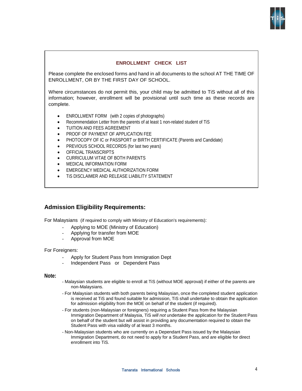

#### **ENROLLMENT CHECK LIST**

Please complete the enclosed forms and hand in all documents to the school AT THE TIME OF ENROLLMENT, OR BY THE FIRST DAY OF SCHOOL.

Where circumstances do not permit this, your child may be admitted to TiS without all of this information; however, enrollment will be provisional until such time as these records are complete.

- ENROLLMENT FORM (with 2 copies of photographs)
- Recommendation Letter from the parents of at least 1 non-related student of TiS
- TUITION AND FEES AGREEMENT
- PROOF OF PAYMENT OF APPLICATION FEE
- PHOTOCOPY OF IC or PASSPORT or BIRTH CERTIFICATE (Parents and Candidate)
- PREVIOUS SCHOOL RECORDS (for last two years)
- OFFICIAL TRANSCRIPTS
- CURRICULUM VITAE OF BOTH PARENTS
- MEDICAL INFORMATION FORM
- **EMERGENCY MEDICAL AUTHORIZATION FORM**
- **TIS DISCLAIMER AND RELEASE LIABILITY STATEMENT**

#### **Admission Eligibility Requirements:**

For Malaysians (if required to comply with Ministry of Education's requirements):

- Applying to MOE (Ministry of Education)
- Applying for transfer from MOE
- Approval from MOE

#### For Foreigners:

- Apply for Student Pass from Immigration Dept
- Independent Pass or Dependent Pass

#### **Note:**

- Malaysian students are eligible to enroll at TiS (without MOE approval) if either of the parents are non-Malaysians.
- For Malaysian students with both parents being Malaysian, once the completed student application is received at TiS and found suitable for admission, TiS shall undertake to obtain the application for admission eligibility from the MOE on behalf of the student (if required).
- For students (non-Malaysian or foreigners) requiring a Student Pass from the Malaysian Immigration Department of Malaysia, TiS *will not* undertake the application for the Student Pass on behalf of the student but will assist in providing any documentation required to obtain the Student Pass with visa validity of at least 3 months.
- Non-Malaysian students who are currently on a Dependant Pass issued by the Malaysian Immigration Department, do not need to apply for a Student Pass, and are eligible for direct enrollment into TiS.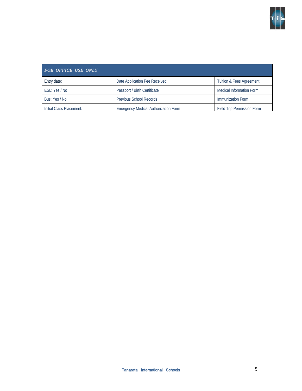

| <b>FOR OFFICE USE ONLY</b> |                                             |                                     |  |
|----------------------------|---------------------------------------------|-------------------------------------|--|
| Entry date:                | Date Application Fee Received:              | <b>Tuition &amp; Fees Agreement</b> |  |
| ESL: Yes / No              | Passport / Birth Certificate                | <b>Medical Information Form</b>     |  |
| Bus: Yes / No              | <b>Previous School Records</b>              | Immunization Form                   |  |
| Initial Class Placement:   | <b>Emergency Medical Authorization Form</b> | <b>Field Trip Permission Form</b>   |  |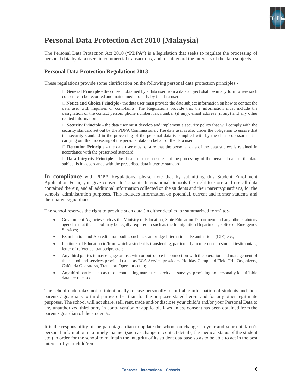

# **Personal Data Protection Act 2010 (Malaysia)**

The Personal Data Protection Act 2010 ("**PDPA**") is a legislation that seeks to regulate the processing of personal data by data users in commercial transactions, and to safeguard the interests of the data subjects.

#### **Personal Data Protection Regulations 2013**

These regulations provide some clarification on the following personal data protection principles:-

 **General Principle** - the consent obtained by a data user from a data subject shall be in any form where such consent can be recorded and maintained properly by the data user.

 **Notice and Choice Principle** - the data user must provide the data subject information on how to contact the data user with inquiries or complaints. The Regulations provide that the information must include the designation of the contact person, phone number, fax number (if any), email address (if any) and any other related information.

 **Security Principle** - the data user must develop and implement a security policy that will comply with the security standard set out by the PDPA Commissioner. The data user is also under the obligation to ensure that the security standard in the processing of the personal data is complied with by the data processor that is carrying out the processing of the personal data on behalf of the data user.

 **Retention Principle** - the data user must ensure that the personal data of the data subject is retained in accordance with the prescribed standard.

 **Data Integrity Principle** - the data user must ensure that the processing of the personal data of the data subject is in accordance with the prescribed data integrity standard.

**In compliance** with PDPA Regulations, please note that by submitting this Student Enrollment Application Form, you give consent to Tanarata International Schools the right to store and use all data contained therein, and all additional information collected on the students and their parents/guardians, for the schools' administration purposes. This includes information on potential, current and former students and their parents/guardians.

The school reserves the right to provide such data (in either detailed or summarized form) to:-

- Government Agencies such as the Ministry of Education, State Education Department and any other statutory agencies that the school may be legally required to such as the Immigration Department, Police or Emergency Services;
- Examination and Accreditation bodies such as Cambridge International Examinations (CIE) etc.;
- Institutes of Education to/from which a student is transferring, particularly in reference to student testimonials, letter of reference, transcripts etc.;
- Any third parties it may engage or task with or outsource in connection with the operation and management of the school and services provided (such as ECA Service providers, Holiday Camp and Field Trip Organizers, Caféteria Operator/s, Transport Operators etc.);
- Any third parties such as those conducting market research and surveys, providing no personally identifiable data are released.

The school undertakes not to intentionally release personally identifiable information of students and their parents / guardians to third parties other than for the purposes stated herein and for any other legitimate purposes. The school will not share, sell, rent, trade and/or disclose your child's and/or your Personal Data to any unauthorized third party in contravention of applicable laws unless consent has been obtained from the parent / guardian of the student/s.

It is the responsibility of the parent/guardian to update the school on changes in your and your child/ren's personal information in a timely manner (such as change in contact details, the medical status of the student etc.) in order for the school to maintain the integrity of its student database so as to be able to act in the best interest of your child/ren.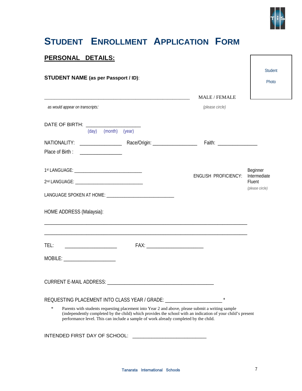

Student

Photo

# **STUDENT ENROLLMENT APPLICATION FORM**

#### **PERSONAL DETAILS:**

#### **STUDENT NAME (as per Passport / ID)**:

|                                   |                                            |                                                                                  | <b>MALE / FEMALE</b>                                                                                                                                                                                            |                                           |
|-----------------------------------|--------------------------------------------|----------------------------------------------------------------------------------|-----------------------------------------------------------------------------------------------------------------------------------------------------------------------------------------------------------------|-------------------------------------------|
| as would appear on transcripts:   |                                            |                                                                                  | (please circle)                                                                                                                                                                                                 |                                           |
| DATE OF BIRTH: _______________    |                                            |                                                                                  |                                                                                                                                                                                                                 |                                           |
|                                   | (day) (month) (year)                       |                                                                                  |                                                                                                                                                                                                                 |                                           |
|                                   |                                            |                                                                                  |                                                                                                                                                                                                                 |                                           |
| Place of Birth:                   |                                            |                                                                                  |                                                                                                                                                                                                                 |                                           |
|                                   |                                            |                                                                                  |                                                                                                                                                                                                                 | Beginner                                  |
|                                   |                                            |                                                                                  | <b>ENGLISH PROFICIENCY:</b>                                                                                                                                                                                     | Intermediate<br>Fluent<br>(please circle) |
|                                   |                                            |                                                                                  |                                                                                                                                                                                                                 |                                           |
| HOME ADDRESS (Malaysia):          |                                            |                                                                                  | ,我们也不会有什么。""我们的人,我们也不会有什么?""我们的人,我们也不会有什么?""我们的人,我们也不会有什么?""我们的人,我们也不会有什么?""我们的人                                                                                                                                |                                           |
| TEL:                              | <u> 1980 - Jan Bernard Bernard, manala</u> |                                                                                  |                                                                                                                                                                                                                 |                                           |
| MOBILE: _________________________ |                                            |                                                                                  |                                                                                                                                                                                                                 |                                           |
|                                   |                                            |                                                                                  |                                                                                                                                                                                                                 |                                           |
|                                   |                                            | REQUESTING PLACEMENT INTO CLASS YEAR / GRADE: __________________________________ |                                                                                                                                                                                                                 |                                           |
| $\ast$                            |                                            |                                                                                  | Parents with students requesting placement into Year 2 and above, please submit a writing sample<br>(independently completed by the child) which provides the school with an indication of your child's present |                                           |

INTENDED FIRST DAY OF SCHOOL: \_\_\_\_\_\_\_\_\_\_\_\_\_\_\_\_\_\_\_\_\_\_\_\_\_\_\_

performance level. This can include a sample of work already completed by the child.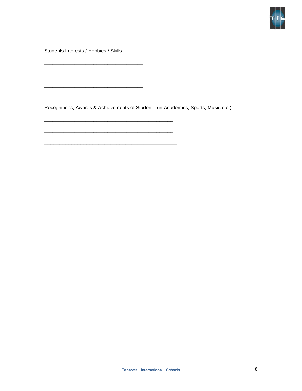

Students Interests / Hobbies / Skills:

\_\_\_\_\_\_\_\_\_\_\_\_\_\_\_\_\_\_\_\_\_\_\_\_\_\_\_\_\_\_\_\_\_\_\_\_

\_\_\_\_\_\_\_\_\_\_\_\_\_\_\_\_\_\_\_\_\_\_\_\_\_\_\_\_\_\_\_\_\_\_\_\_

\_\_\_\_\_\_\_\_\_\_\_\_\_\_\_\_\_\_\_\_\_\_\_\_\_\_\_\_\_\_\_\_\_\_\_\_\_\_\_\_\_\_\_\_\_\_\_

\_\_\_\_\_\_\_\_\_\_\_\_\_\_\_\_\_\_\_\_\_\_\_\_\_\_\_\_\_\_\_\_\_\_\_\_\_\_\_\_\_\_\_\_\_\_\_

\_\_\_\_\_\_\_\_\_\_\_\_\_\_\_\_\_\_\_\_\_\_\_\_\_\_\_\_\_\_\_\_\_\_\_\_\_\_\_\_\_\_\_\_

Recognitions, Awards & Achievements of Student (in Academics, Sports, Music etc.):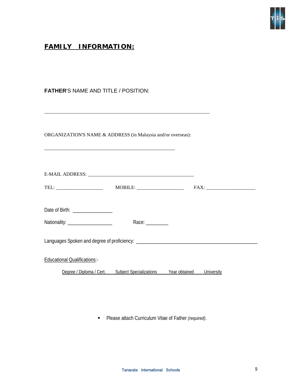

# **FAMILY INFORMATION:**

**FATHER**'S NAME AND TITLE / POSITION:

| ORGANIZATION'S NAME & ADDRESS (in Malaysia and/or overseas):            |                                                                           |            |
|-------------------------------------------------------------------------|---------------------------------------------------------------------------|------------|
|                                                                         |                                                                           |            |
|                                                                         |                                                                           |            |
| Date of Birth: _________________<br>Nationality: ______________________ | Race: $\frac{1}{\sqrt{1-\frac{1}{2}}\cdot\frac{1}{\sqrt{1-\frac{1}{2}}}}$ |            |
|                                                                         |                                                                           |            |
| <b>Educational Qualifications:-</b>                                     |                                                                           |            |
|                                                                         | Degree / Diploma / Cert. Subject Specializations Year obtained            | University |
|                                                                         |                                                                           |            |

Please attach Curriculum Vitae of Father *(required)*.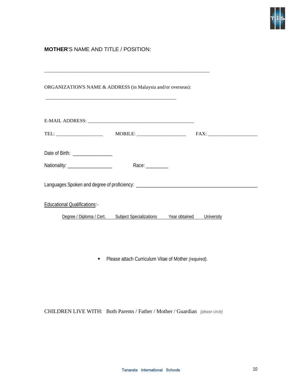

#### **MOTHER**'S NAME AND TITLE / POSITION:

| ORGANIZATION'S NAME & ADDRESS (in Malaysia and/or overseas): |                                                            |                             |  |
|--------------------------------------------------------------|------------------------------------------------------------|-----------------------------|--|
|                                                              |                                                            |                             |  |
| TEL: ________________________                                | $\text{MOBILE:}\n\qquad \qquad \overbrace{\qquad \qquad }$ |                             |  |
| Date of Birth: __________________                            |                                                            |                             |  |
| Nationality: _____________________                           | Race: $\frac{1}{\sqrt{1-\frac{1}{2}}\cdot\frac{1}{2}}$     |                             |  |
|                                                              |                                                            |                             |  |
| <b>Educational Qualifications:-</b>                          |                                                            |                             |  |
| Degree / Diploma / Cert.                                     | <b>Subject Specializations</b>                             | Year obtained<br>University |  |

Please attach Curriculum Vitae of Mother *(required)*.

CHILDREN LIVE WITH: Both Parents / Father / Mother / Guardian *(please circle)*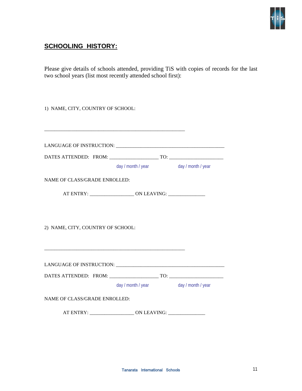

# **SCHOOLING HISTORY:**

Please give details of schools attended, providing TiS with copies of records for the last two school years (list most recently attended school first):

| 1) NAME, CITY, COUNTRY OF SCHOOL: |                                                                                   |  |  |
|-----------------------------------|-----------------------------------------------------------------------------------|--|--|
|                                   |                                                                                   |  |  |
|                                   |                                                                                   |  |  |
|                                   |                                                                                   |  |  |
|                                   |                                                                                   |  |  |
|                                   | day / month / year day / month / year                                             |  |  |
| NAME OF CLASS/GRADE ENROLLED:     |                                                                                   |  |  |
|                                   | AT ENTRY: _________________________ ON LEAVING: _________________________________ |  |  |
|                                   |                                                                                   |  |  |
|                                   |                                                                                   |  |  |
| 2) NAME, CITY, COUNTRY OF SCHOOL: |                                                                                   |  |  |
|                                   |                                                                                   |  |  |
|                                   |                                                                                   |  |  |
|                                   |                                                                                   |  |  |
|                                   |                                                                                   |  |  |
|                                   |                                                                                   |  |  |
|                                   | day / month / year day / month / year                                             |  |  |
| NAME OF CLASS/GRADE ENROLLED:     |                                                                                   |  |  |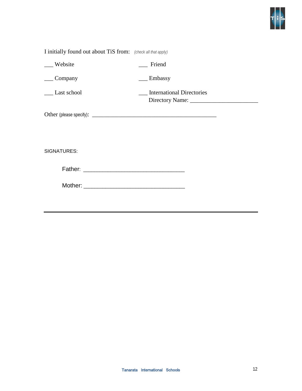

| I initially found out about TiS from: (check all that apply) |                                  |
|--------------------------------------------------------------|----------------------------------|
| __ Website                                                   | Friend                           |
| Company                                                      | Embassy                          |
| Last school                                                  | <b>International Directories</b> |
|                                                              |                                  |
|                                                              |                                  |
| SIGNATURES:                                                  |                                  |
|                                                              |                                  |
|                                                              |                                  |
|                                                              |                                  |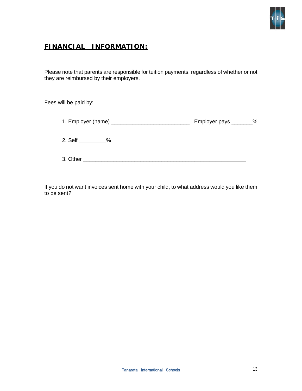

# **FINANCIAL INFORMATION:**

Please note that parents are responsible for tuition payments, regardless of whether or not they are reimbursed by their employers.

Fees will be paid by:

|                 | Employer pays ________% |
|-----------------|-------------------------|
| 2. Self<br>$\%$ |                         |
| 3. Other        |                         |

If you do not want invoices sent home with your child, to what address would you like them to be sent?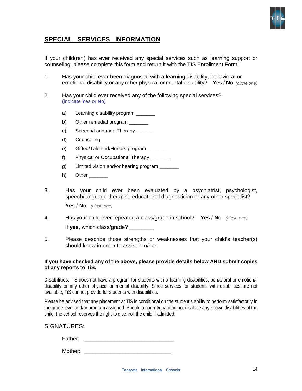

#### **SPECIAL SERVICES INFORMATION**

If your child(ren) has ever received any special services such as learning support or counseling, please complete this form and return it with the TIS Enrollment Form.

- 1. Has your child ever been diagnosed with a learning disability, behavioral or emotional disability or any other physical or mental disability? **Y**es / **N**o *(circle one)*
- 2. Has your child ever received any of the following special services? (indicate **Y**es or **N**o)
	- a) Learning disability program
	- b) Other remedial program \_\_\_\_\_\_\_
	- c) Speech/Language Therapy
	- d) Counseling
	- e) Gifted/Talented/Honors program \_\_\_\_\_\_\_
	- f) Physical or Occupational Therapy \_\_\_\_\_\_\_
	- g) Limited vision and/or hearing program \_\_\_\_\_\_\_
	- h) Other  $\frac{1}{\sqrt{1-\frac{1}{2}}}\left\vert \frac{1}{\sqrt{1-\frac{1}{2}}}\right\vert$
- 3. Has your child ever been evaluated by a psychiatrist, psychologist, speech/language therapist, educational diagnostician or any other specialist? **Y**es / **N**o *(circle one)*
- 4. Has your child ever repeated a class/grade in school? **Y**es / **N**o *(circle one)*  If **yes**, which class/grade? \_\_\_\_\_\_\_\_
- 5. Please describe those strengths or weaknesses that your child's teacher(s) should know in order to assist him/her.

#### **If you have checked any of the above, please provide details below AND submit copies of any reports to TiS.**

**Disabilities**: TiS does not have a program for students with a learning disabilities, behavioral or emotional disability or any other physical or mental disability. Since services for students with disabilities are not available, TiS cannot provide for students with disabilities.

Please be advised that any placement at TiS is conditional on the student's ability to perform satisfactorily in the grade level and/or program assigned. Should a parent/guardian not disclose any known disabilities of the child, the school reserves the right to disenroll the child if admitted.

#### SIGNATURES:

Father: \_\_\_\_\_\_\_\_\_\_\_\_\_\_\_\_\_\_\_\_\_\_\_\_\_\_\_\_\_\_

Mother: \_\_\_\_\_\_\_\_\_\_\_\_\_\_\_\_\_\_\_\_\_\_\_\_\_\_\_\_\_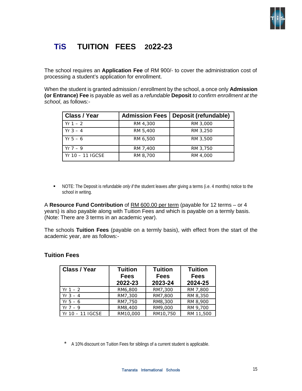

# **TiS TUITION FEES 2022-23**

The school requires an **Application Fee** of RM 900/- to cover the administration cost of processing a student's application for enrollment.

When the student is granted admission / enrollment by the school, a once only **Admission (or Entrance) Fee** is payable as well as a *refundable* **Deposit** *to confirm enrollment at the school*, as follows:-

| <b>Class / Year</b> | <b>Admission Fees</b> | Deposit (refundable) |
|---------------------|-----------------------|----------------------|
| $Yr 1 - 2$          | RM 4,300              | RM 3,000             |
| $Yr 3 - 4$          | RM 5,400              | RM 3,250             |
| $Yr 5 - 6$          | RM 6,500              | RM 3,500             |
| $Yr 7 - 9$          | RM 7,400              | RM 3,750             |
| $Yr 10 - 11 IGCSE$  | RM 8,700              | RM 4,000             |

 NOTE: The Deposit is refundable *only if* the student leaves after giving a terms (i.e. 4 months) notice to the school in writing.

A **Resource Fund Contribution** of RM 600.00 per term (payable for 12 terms – or 4 years) is also payable along with Tuition Fees and which is payable on a termly basis. (Note: There are 3 terms in an academic year).

The schools **Tuition Fees** (payable on a termly basis), with effect from the start of the academic year, are as follows:-

#### **Tuition Fees**

| Class / Year     | <b>Tuition</b><br><b>Tuition</b><br><b>Fees</b><br><b>Fees</b> |          | <b>Tuition</b><br><b>Fees</b> |
|------------------|----------------------------------------------------------------|----------|-------------------------------|
|                  | 2022-23                                                        | 2023-24  | 2024-25                       |
| $Yr 1 - 2$       | RM6,800                                                        | RM7,300  | RM 7,800                      |
| $Yr \; 3 - 4$    | RM7,300                                                        | RM7,800  | RM 8,350                      |
| $Yr 5 - 6$       | RM7,750                                                        | RM8,300  | RM 8,900                      |
| $Yr \ 7 - 9$     | RM8,400                                                        | RM9,000  | RM 9,700                      |
| Yr 10 - 11 IGCSE | RM10,000                                                       | RM10,750 | RM 11,500                     |

A 10% discount on Tuition Fees for siblings of a current student is applicable.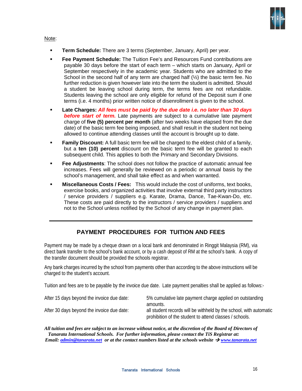

#### Note:

- **Term Schedule:** There are 3 terms (September, January, April) per year.
- **Fee Payment Schedule:** The Tuition Fee's and Resources Fund contributions are payable 30 days before the start of each term – which starts on January, April or September respectively in the academic year. Students who are admitted to the School in the second half of any term are charged half  $(½)$  the basic term fee. No further reduction is given however late into the term the student is admitted. Should a student be leaving school during term, the terms fees are not refundable. Students leaving the school are only eligible for refund of the Deposit sum if one terms (i.e. 4 months) prior written notice of disenrollment is given to the school.
- **Late Charges:** *All fees must be paid by the due date i.e. no later than 30 days before start of term.* Late payments are subject to a cumulative late payment charge of **five (5) percent per month** (after two weeks have elapsed from the due date) of the basic term fee being imposed, and shall result in the student not being allowed to continue attending classes until the account is brought up to date.
- **Family Discount:** A full basic term fee will be charged to the eldest child of a family, but a **ten (10) percent** discount on the basic term fee will be granted to each subsequent child. This applies to both the Primary and Secondary Divisions.
- **Fee Adjustments**: The school does not follow the practice of automatic annual fee increases. Fees will generally be reviewed on a periodic or annual basis by the school's management, and shall take effect as and when warranted.
- **Miscellaneous Costs / Fees:** This would include the cost of uniforms, text books, exercise books, and organized activities that involve external third party instructors / service providers / suppliers e.g. Karate, Drama, Dance, Tae-Kwan-Do, etc. These costs are paid directly to the instructors / service providers / suppliers and not to the School unless notified by the School of any change in payment plan.

#### **PAYMENT PROCEDURES FOR TUITION AND FEES**

Payment may be made by a cheque drawn on a local bank and denominated in Ringgit Malaysia (RM), via direct bank transfer to the school's bank account, or by a cash deposit of RM at the school's bank. A copy of the transfer document should be provided the schools registrar.

Any bank charges incurred by the school from payments other than according to the above instructions will be charged to the student's account.

Tuition and fees are to be payable by the invoice due date. Late payment penalties shall be applied as follows:-

| After 15 days beyond the invoice due date: | 5% cumulative late payment charge applied on outstanding<br>amounts.                                                          |
|--------------------------------------------|-------------------------------------------------------------------------------------------------------------------------------|
| After 30 days beyond the invoice due date: | all student records will be withheld by the school, with automatic<br>prohibition of the student to attend classes / schools. |

*All tuition and fees are subject to an increase without notice, at the discretion of the Board of Directors of Tanarata International Schools. For further information, please contact the TiS Registrar at: Email: [admin@tanarata.net](mailto:admin@tanarata.net) or at the contact numbers listed at the schools website [www.tanarata.net](http://www.tanarata.net/)*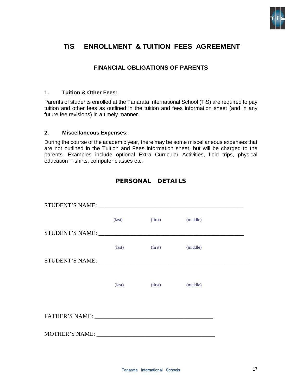

# **TiS ENROLLMENT & TUITION FEES AGREEMENT**

#### **FINANCIAL OBLIGATIONS OF PARENTS**

#### **1. Tuition & Other Fees:**

Parents of students enrolled at the Tanarata International School (TiS) are required to pay tuition and other fees as outlined in the tuition and fees information sheet (and in any future fee revisions) in a timely manner.

#### **2. Miscellaneous Expenses:**

During the course of the academic year, there may be some miscellaneous expenses that are not outlined in the Tuition and Fees information sheet, but will be charged to the parents. Examples include optional Extra Curricular Activities, field trips, physical education T-shirts, computer classes etc.

#### **PERSONAL DETAILS**

|                | $\text{(last)}$ | (first) | (middle) |
|----------------|-----------------|---------|----------|
|                |                 |         |          |
|                | $\text{(last)}$ | (first) | (middle) |
|                |                 |         |          |
|                |                 |         |          |
|                | $\text{(last)}$ | (first) | (middle) |
|                |                 |         |          |
|                |                 |         |          |
| MOTHER'S NAME: |                 |         |          |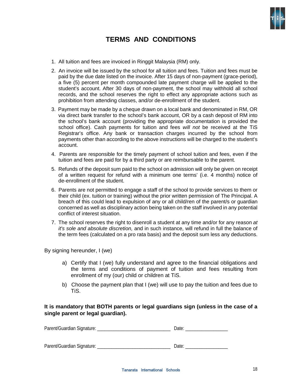

# **TERMS AND CONDITIONS**

- 1. All tuition and fees are invoiced in Ringgit Malaysia (RM) only.
- 2. An invoice will be issued by the school for all tuition and fees. Tuition and fees must be paid by the due date listed on the invoice. After 15 days of non-payment (grace-period), a five (5) percent per month compounded late payment charge will be applied to the student's account. After 30 days of non-payment, the school may withhold all school records, and the school reserves the right to effect any appropriate actions such as prohibition from attending classes, and/or de-enrollment of the student.
- 3. Payment may be made by a cheque drawn on a local bank and denominated in RM, OR via direct bank transfer to the school's bank account, OR by a cash deposit of RM into the school's bank account (providing the appropriate documentation is provided the school office). Cash payments for tuition and fees *will not* be received at the TiS Registrar's office. Any bank or transaction charges incurred by the school from payments other than according to the above instructions will be charged to the student's account.
- 4. Parents are responsible for the timely payment of school tuition and fees, even if the tuition and fees are paid for by a third party or are reimbursable to the parent.
- 5. Refunds of the deposit sum paid to the school on admission will only be given on receipt of a written request for refund with a minimum one terms' (i.e. 4 months) notice of de-enrollment of the student.
- 6. Parents are not permitted to engage a staff of the school to provide services to them or their child (ex. tuition or training) without the prior written permission of The Principal. A breach of this could lead to expulsion of any or all child/ren of the parent/s or guardian concerned as well as disciplinary action being taken on the staff involved in any potential conflict of interest situation.
- 7. The school reserves the right to disenroll a student at any time and/or for any reason *at it's sole and absolute discretion,* and in such instance, will refund in full the balance of the term fees (calculated on a pro rata basis) and the deposit sum less any deductions.

By signing hereunder, I (we)

- a) Certify that I (we) fully understand and agree to the financial obligations and the terms and conditions of payment of tuition and fees resulting from enrollment of my (our) child or children at TiS.
- b) Choose the payment plan that I (we) will use to pay the tuition and fees due to TiS.

#### **It is mandatory that BOTH parents or legal guardians sign (unless in the case of a single parent or legal guardian).**

| Parent/Guardian Signature: | Date: |
|----------------------------|-------|
|                            |       |
|                            |       |
| Parent/Guardian Signature: | Date: |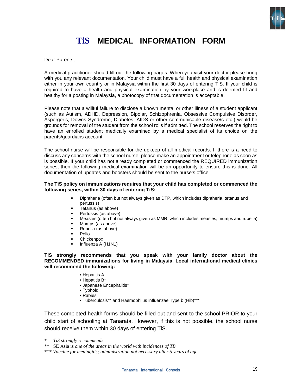

# **TiS MEDICAL INFORMATION FORM**

Dear Parents,

A medical practitioner should fill out the following pages. When you visit your doctor please bring with you any relevant documentation. Your child must have a full health and physical examination either in your own country or in Malaysia within the first 30 days of entering TiS. If your child is required to have a health and physical examination by your workplace and is deemed fit and healthy for a posting in Malaysia, a photocopy of that documentation is acceptable.

Please note that a willful failure to disclose a known mental or other illness of a student applicant (such as Autism, ADHD, Depression, Bipolar, Schizophrenia, Obsessive Compulsive Disorder, Asperger's, Downs Syndrome, Diabetes, AIDS or other communicable disease/s etc.) would be grounds for removal of the student from the school rolls if admitted. The school reserves the right to have an enrolled student medically examined by a medical specialist of its choice on the parents/guardians account.

The school nurse will be responsible for the upkeep of all medical records. If there is a need to discuss any concerns with the school nurse, please make an appointment or telephone as soon as is possible. If your child has not already completed or commenced the REQUIRED immunization series, then the following medical examination will be an opportunity to ensure this is done. All documentation of updates and boosters should be sent to the nurse's office.

#### **The TiS policy on immunizations requires that your child has completed or commenced the following series, within 30 days of entering TiS:**

- Diphtheria (often but not always given as DTP, which includes diphtheria, tetanus and pertussis)
- Tetanus (as above)
- Pertussis (as above)
- Measles (often but not always given as MMR, which includes measles, mumps and rubella)
- Mumps (as above)
- Rubella (as above)
- Polio
- Chickenpox
- Influenza A (H1N1)

**TiS strongly recommends that you speak with your family doctor about the RECOMMENDED immunizations for living in Malaysia. Local international medical clinics will recommend the following:**

- Hepatitis A
- Hepatitis B\*
- Japanese Encephalitis\*
- Typhoid
- Rabies
- Tuberculosis\*\* and Haemophilus influenzae Type b (Hib)\*\*\*

These completed health forms should be filled out and sent to the school PRIOR to your child start of schooling at Tanarata. However, if this is not possible, the school nurse should receive them within 30 days of entering TiS.

- \* *TiS strongly recommends*
- \*\* SE Asia is *one of the areas in the world with incidences of TB*

\*\*\* *Vaccine for meningitis; administration not necessary after 5 years of age*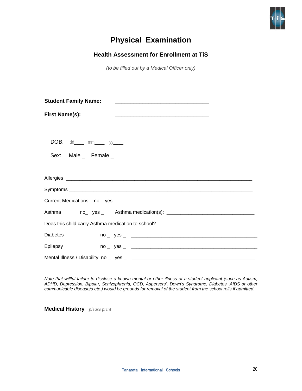

# **Physical Examination**

#### **Health Assessment for Enrollment at TiS**

*(to be filled out by a Medical Officer only)* 

| <b>Student Family Name:</b>      |
|----------------------------------|
| <b>First Name(s):</b>            |
| <b>DOB:</b> $dd$ mm _____ yy____ |
| Sex: Male _ Female _             |
|                                  |
|                                  |
|                                  |
|                                  |
|                                  |
|                                  |
| <b>Diabetes</b>                  |
| Epilepsy                         |
|                                  |

*Note that willful failure to disclose a known mental or other illness of a student applicant (such as Autism, ADHD, Depression, Bipolar, Schizophrenia, OCD, Aspersers', Down's Syndrome, Diabetes, AIDS or other communicable disease/s etc.) would be grounds for removal of the student from the school rolls if admitted.* 

**Medical History** *please print*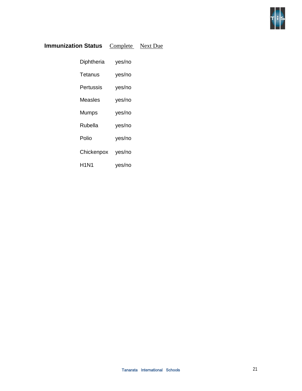

## **Immunization Status Complete Next Due**

| Diphtheria | yes/no |
|------------|--------|
| Tetanus    | yes/no |
| Pertussis  | yes/no |
| Measles    | yes/no |
| Mumps      | yes/no |
| Rubella    | yes/no |
| Polio      | yes/no |
| Chickenpox | yes/no |
| H1N1       | yes/no |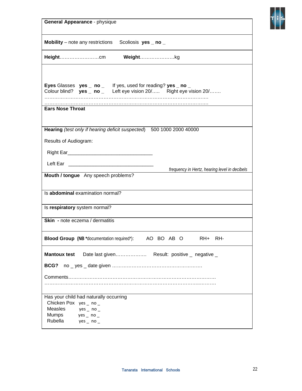| General Appearance - physique                                                                                                                    |
|--------------------------------------------------------------------------------------------------------------------------------------------------|
| <b>Mobility</b> – note any restrictions<br>Scoliosis yes _ no _                                                                                  |
| Weightkg                                                                                                                                         |
| <b>Eyes</b> Glasses $yes \_ no \_$ If yes, used for reading? $yes \_ no \_$<br>Colour blind? yes _ no _ Left eye vision 20/ Right eye vision 20/ |
| <b>Ears Nose Throat</b>                                                                                                                          |
| Hearing (test only if hearing deficit suspected) 500 1000 2000 40000<br>Results of Audiogram:                                                    |
|                                                                                                                                                  |
| frequency in Hertz, hearing level in decibels<br>Mouth / tongue Any speech problems?                                                             |
| Is abdominal examination normal?                                                                                                                 |
| Is respiratory system normal?                                                                                                                    |
| Skin - note eczema / dermatitis                                                                                                                  |
| Blood Group (NB *documentation required*): AO BO AB O RH+ RH-                                                                                    |
| <b>Mantoux test</b><br>Date last given Result: positive _ negative _                                                                             |
| BCG?                                                                                                                                             |
|                                                                                                                                                  |
| Has your child had naturally occurring<br>Chicken Pox yes _ no _<br>Measles<br>yes _ no _<br>Mumps<br>yes _ no _<br>Rubella<br>yes _ no _        |

Ţ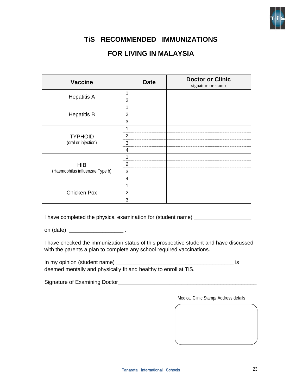

## **TiS RECOMMENDED IMMUNIZATIONS**

# **FOR LIVING IN MALAYSIA**

| <b>Vaccine</b>                                | <b>Date</b>    | <b>Doctor or Clinic</b><br>signature or stamp |
|-----------------------------------------------|----------------|-----------------------------------------------|
| <b>Hepatitis A</b>                            | 1              |                                               |
|                                               | 2              |                                               |
|                                               |                |                                               |
| <b>Hepatitis B</b>                            | 2              |                                               |
|                                               | 3              |                                               |
| <b>TYPHOID</b><br>(oral or injection)         | 1              |                                               |
|                                               | $\overline{2}$ |                                               |
|                                               | 3              |                                               |
|                                               | 4              |                                               |
|                                               |                |                                               |
| <b>HIB</b><br>(Haemophilus influenzae Type b) | 2              |                                               |
|                                               | 3              |                                               |
|                                               | 4              |                                               |
|                                               |                |                                               |
| <b>Chicken Pox</b>                            | 2              |                                               |
|                                               | 3              |                                               |

I have completed the physical examination for (student name) \_\_\_\_\_\_\_\_\_\_\_\_\_\_\_\_\_\_\_

on (date) \_\_\_\_\_\_\_\_\_\_\_\_\_\_\_\_\_\_ .

I have checked the immunization status of this prospective student and have discussed with the parents a plan to complete any school required vaccinations.

In my opinion (student name) \_\_\_\_\_\_\_\_\_\_\_\_\_\_\_\_\_\_\_\_\_\_\_\_\_\_\_\_\_\_\_\_\_\_\_\_\_\_\_ is deemed mentally and physically fit and healthy to enroll at TiS.

Signature of Examining Doctor\_\_\_\_\_\_\_\_\_\_\_\_\_\_\_\_\_\_\_\_\_\_\_\_\_\_\_\_\_\_\_\_\_\_\_\_\_\_\_\_\_\_\_\_\_\_

Medical Clinic Stamp/ Address details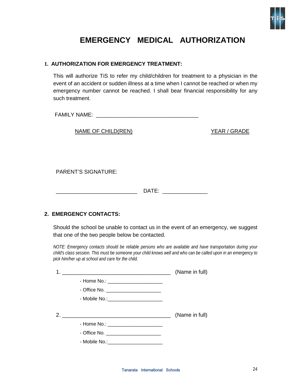

# **EMERGENCY MEDICAL AUTHORIZATION**

#### **1. AUTHORIZATION FOR EMERGENCY TREATMENT:**

This will authorize TiS to refer my child/children for treatment to a physician in the event of an accident or sudden illness at a time when I cannot be reached or when my emergency number cannot be reached. I shall bear financial responsibility for any such treatment.

FAMILY NAME: \_\_\_\_\_\_\_\_\_\_\_\_\_\_\_\_\_\_\_\_\_\_\_\_\_\_\_\_\_\_\_\_\_\_

NAME OF CHILD(REN) YEAR / GRADE

PARENT'S SIGNATURE:

\_\_\_\_\_\_\_\_\_\_\_\_\_\_\_\_\_\_\_\_\_\_\_\_\_\_\_ DATE: \_\_\_\_\_\_\_\_\_\_\_\_\_\_\_

#### **2. EMERGENCY CONTACTS:**

Should the school be unable to contact us in the event of an emergency, we suggest that one of the two people below be contacted.

*NOTE: Emergency contacts should be reliable persons who are available and have transportation during your child's class session. This must be someone your child knows well and who can be called upon in an emergency to pick him/her up at school and care for the child.* 

|                                         | (Name in full) |
|-----------------------------------------|----------------|
|                                         |                |
| - Office No. ________________________   |                |
| - Mobile No.: ________________________  |                |
|                                         | (Name in full) |
| - Home No.: _______________________     |                |
| - Office No. ________________________   |                |
| - Mobile No.: _________________________ |                |
|                                         |                |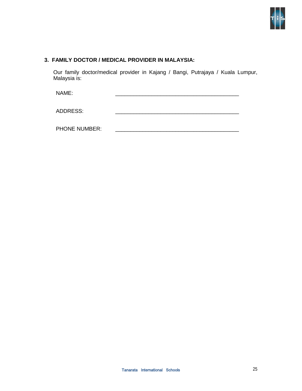

#### **3. FAMILY DOCTOR / MEDICAL PROVIDER IN MALAYSIA:**

Our family doctor/medical provider in Kajang / Bangi, Putrajaya / Kuala Lumpur, Malaysia is:

NAME: \_\_\_\_\_\_\_\_\_\_\_\_\_\_\_\_\_\_\_\_\_\_\_\_\_\_\_\_\_\_\_\_\_\_\_\_\_\_\_\_\_

ADDRESS:

PHONE NUMBER: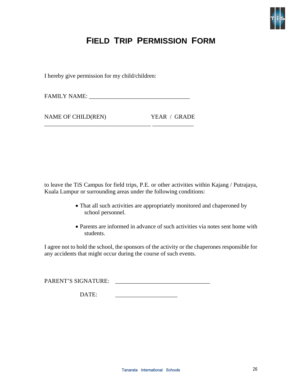

# **FIELD TRIP PERMISSION FORM**

I hereby give permission for my child/children:

FAMILY NAME: \_\_\_\_\_\_\_\_\_\_\_\_\_\_\_\_\_\_\_\_\_\_\_\_\_\_\_\_\_\_\_\_\_\_

\_\_\_\_\_\_\_\_\_\_\_\_\_\_\_\_\_\_\_\_\_\_\_\_\_\_\_\_\_\_\_\_\_\_\_\_ \_\_\_\_\_\_\_\_\_\_\_\_\_\_

NAME OF CHILD(REN) YEAR / GRADE

to leave the TiS Campus for field trips, P.E. or other activities within Kajang / Putrajaya, Kuala Lumpur or surrounding areas under the following conditions:

- That all such activities are appropriately monitored and chaperoned by school personnel.
- Parents are informed in advance of such activities via notes sent home with students.

I agree not to hold the school, the sponsors of the activity or the chaperones responsible for any accidents that might occur during the course of such events.

PARENT'S SIGNATURE: \_\_\_\_\_\_\_\_\_\_\_\_\_\_\_\_\_\_\_\_\_\_\_\_\_\_\_\_\_\_\_\_

DATE: \_\_\_\_\_\_\_\_\_\_\_\_\_\_\_\_\_\_\_\_\_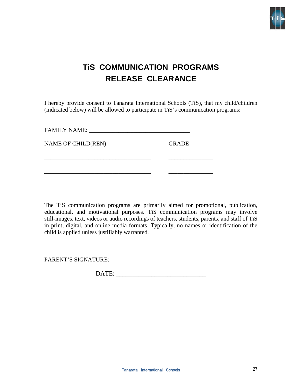

# **TiS COMMUNICATION PROGRAMS RELEASE CLEARANCE**

I hereby provide consent to Tanarata International Schools (TiS), that my child/children (indicated below) will be allowed to participate in TiS's communication programs:

| NAME OF CHILD(REN) | <b>GRADE</b> |
|--------------------|--------------|
|                    |              |
|                    |              |
|                    |              |

The TiS communication programs are primarily aimed for promotional, publication, educational, and motivational purposes. TiS communication programs may involve still-images, text, videos or audio recordings of teachers, students, parents, and staff of TiS in print, digital, and online media formats. Typically, no names or identification of the child is applied unless justifiably warranted.

PARENT'S SIGNATURE: \_\_\_\_\_\_\_\_\_\_\_\_\_\_\_\_\_\_\_\_\_\_\_\_\_\_\_\_\_\_\_\_

DATE: \_\_\_\_\_\_\_\_\_\_\_\_\_\_\_\_\_\_\_\_\_\_\_\_\_\_\_\_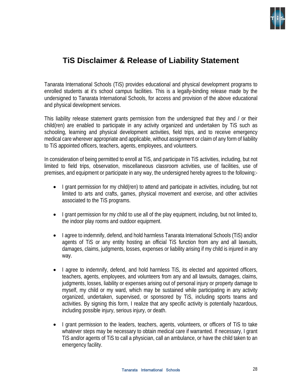

# **TiS Disclaimer & Release of Liability Statement**

Tanarata International Schools (TiS) provides educational and physical development programs to enrolled students at it's school campus facilities. This is a legally-binding release made by the undersigned to Tanarata International Schools, for access and provision of the above educational and physical development services.

This liability release statement grants permission from the undersigned that they and / or their child(ren) are enabled to participate in any activity organized and undertaken by TiS such as schooling, learning and physical development activities, field trips, and to receive emergency medical care wherever appropriate and applicable, without assignment or claim of any form of liability to TiS appointed officers, teachers, agents, employees, and volunteers.

In consideration of being permitted to enroll at TiS, and participate in TiS activities, including, but not limited to field trips, observation, miscellaneous classroom activities, use of facilities, use of premises, and equipment or participate in any way, the undersigned hereby agrees to the following:-

- I grant permission for my child(ren) to attend and participate in activities, including, but not limited to arts and crafts, games, physical movement and exercise, and other activities associated to the TiS programs.
- I grant permission for my child to use all of the play equipment, including, but not limited to, the indoor play rooms and outdoor equipment.
- I agree to indemnify, defend, and hold harmless Tanarata International Schools (TiS) and/or agents of TiS or any entity hosting an official TiS function from any and all lawsuits, damages, claims, judgments, losses, expenses or liability arising if my child is injured in any way.
- I agree to indemnify, defend, and hold harmless TiS, its elected and appointed officers, teachers, agents, employees, and volunteers from any and all lawsuits, damages, claims, judgments, losses, liability or expenses arising out of personal injury or property damage to myself, my child or my ward, which may be sustained while participating in any activity organized, undertaken, supervised, or sponsored by TiS, including sports teams and activities. By signing this form, I realize that any specific activity is potentially hazardous, including possible injury, serious injury, or death.
- I grant permission to the leaders, teachers, agents, volunteers, or officers of TiS to take whatever steps may be necessary to obtain medical care if warranted. If necessary, I grant TiS and/or agents of TiS to call a physician, call an ambulance, or have the child taken to an emergency facility.